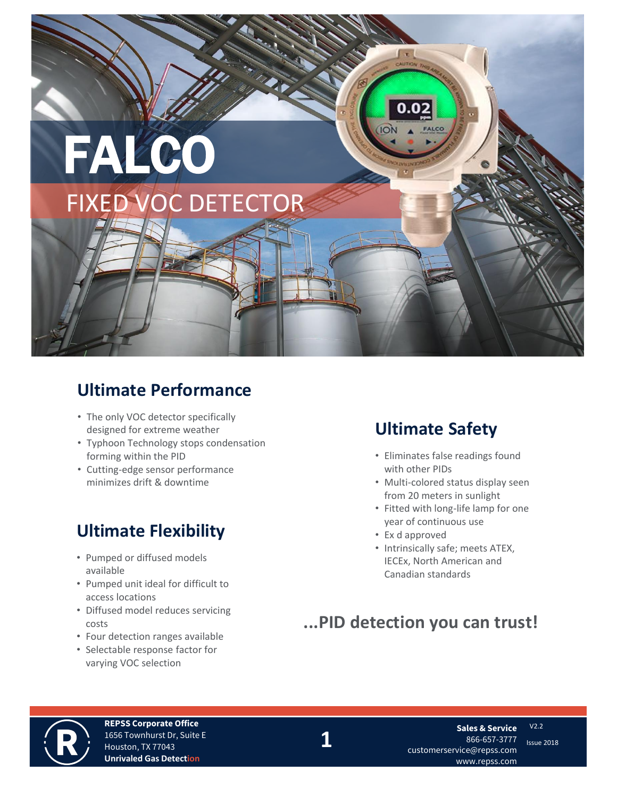

# **Ultimate Performance**

- The only VOC detector specifically designed for extreme weather
- Typhoon Technology stops condensation forming within the PID
- Cutting-edge sensor performance minimizes drift & downtime

# **Ultimate Flexibility**

- Pumped or diffused models available
- Pumped unit ideal for difficult to access locations
- Diffused model reduces servicing costs
- Four detection ranges available
- Selectable response factor for varying VOC selection

# **Ultimate Safety**

- Eliminates false readings found with other PIDs
- Multi-colored status display seen from 20 meters in sunlight
- Fitted with long-life lamp for one year of continuous use
- Ex d approved
- Intrinsically safe; meets ATEX, IECEx, North American and Canadian standards

# **...PID detection you can trust!**



**REPSS Corporate Office** 1656 Townhurst Dr, Suite E Houston, TX 77043 **Unrivaled Gas Detection**

**1** Issue 2018 customerservice@repss.com **Sales & Service** 866-657-3777 www.repss.com

V2.2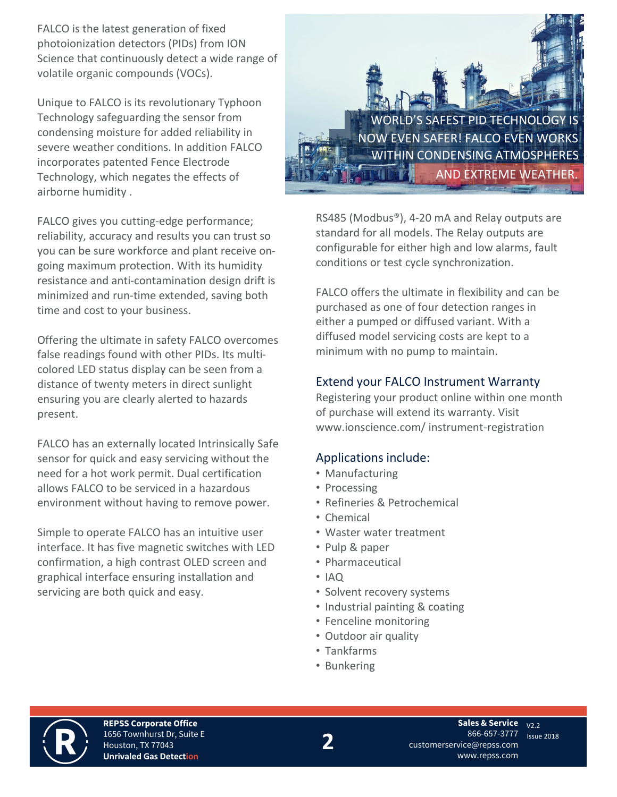FALCO is the latest generation of fixed photoionization detectors (PIDs) from ION Science that continuously detect a wide range of volatile organic compounds (VOCs).

Unique to FALCO is its revolutionary Typhoon Technology safeguarding the sensor from condensing moisture for added reliability in severe weather conditions. In addition FALCO incorporates patented Fence Electrode Technology, which negates the effects of airborne humidity .

FALCO gives you cutting-edge performance; reliability, accuracy and results you can trust so you can be sure workforce and plant receive ongoing maximum protection. With its humidity resistance and anti-contamination design drift is minimized and run-time extended, saving both time and cost to your business.

Offering the ultimate in safety FALCO overcomes false readings found with other PIDs. Its multicolored LED status display can be seen from a distance of twenty meters in direct sunlight ensuring you are clearly alerted to hazards present.

FALCO has an externally located Intrinsically Safe sensor for quick and easy servicing without the need for a hot work permit. Dual certification allows FALCO to be serviced in a hazardous environment without having to remove power.

Simple to operate FALCO has an intuitive user interface. It has five magnetic switches with LED confirmation, a high contrast OLED screen and graphical interface ensuring installation and servicing are both quick and easy.



RS485 (Modbus®), 4-20 mA and Relay outputs are standard for all models. The Relay outputs are configurable for either high and low alarms, fault conditions or test cycle synchronization.

FALCO offers the ultimate in flexibility and can be purchased as one of four detection ranges in either a pumped or diffused variant. With a diffused model servicing costs are kept to a minimum with no pump to maintain.

## Extend your FALCO Instrument Warranty

Registering your product online within one month of purchase will extend its warranty. Visit www.ionscience.com/ instrument-registration

# Applications include:

- Manufacturing
- Processing
- Refineries & Petrochemical
- Chemical
- Waster water treatment
- Pulp & paper
- Pharmaceutical
- IAQ
- Solvent recovery systems
- Industrial painting & coating
- Fenceline monitoring
- Outdoor air quality
- Tankfarms
- Bunkering



**REPSS Corporate Office** 1656 Townhurst Dr, Suite E Houston, TX 77043 **Unrivaled Gas Detection**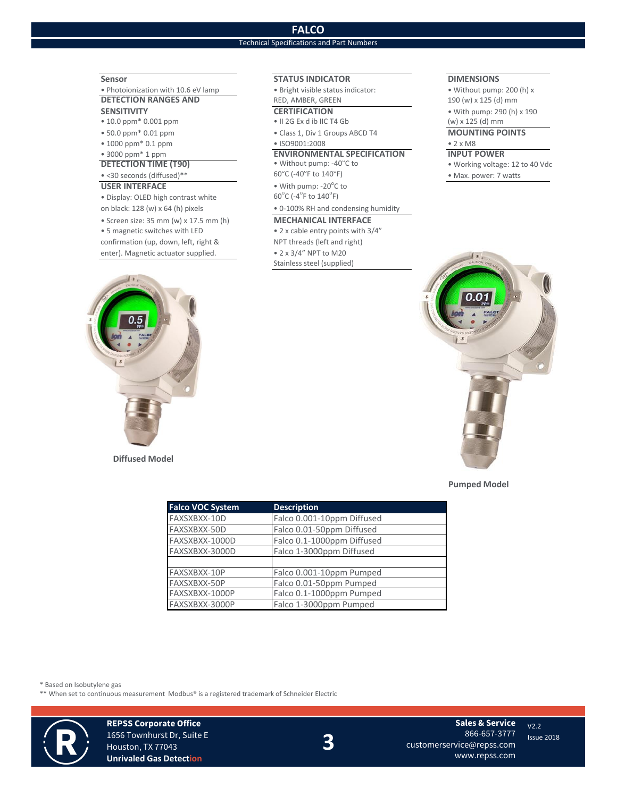## **FALCO**

## Technical Specifications and Part Numbers

• Photoionization with 10.6 eV lamp • Bright visible status indicator: • Without pump: 200 (h) x **DETECTION RANGES AND** RED, AMBER, GREEN 190 (w) x 125 (d) mm

- 
- 
- 
- 

## **DETECTION TIME (T90)**  $\bullet$  <30 seconds (diffused)\*\*

### **USER INTERFACE**

 $\bullet$  Display: OLED high contrast white

- Screen size: 35 mm (w) x 17.5 mm (h) **MECHANICAL INTERFACE**
- 5 magnetic switches with LED 2 x cable entry points with 3/4"

enter). Magnetic actuator supplied. • 2 x 3/4" NPT to M20

**Diffused Model**

### **Sensor STATUS INDICATOR DIMENSIONS**

- 10.0 ppm\* 0.001 ppm II 2G Ex d ib IIC T4 Gb (w) x 125 (d) mm
- 50.0 ppm\* 0.01 ppm Class 1, Div 1 Groups ABCD T4 **MOUNTING POINTS**

### • 1000 ppm\* 0.1 ppm • ISO9001:2008 • 2 x M8

# • 3000 ppm\* 1 ppm **ENVIRONMENTAL SPECIFICATION INPUT POWER**

C (-40 $\degree$ F to 140 $\degree$ 

• With pump:  $-20^{\circ}$ C to  $C$  (-4<sup>°</sup>F to 140<sup>°</sup>F)

on black: 128 (w) x 64 (h) pixels • 0-100% RH and condensing humidity

confirmation (up, down, left, right & NPT threads (left and right) Stainless steel (supplied)

**SENSITIVITY CERTIFICATION** • With pump: 290 (h) x 190

• Working voltage: 12 to 40 Vdc • Max. power: 7 watts



**Pumped Model**

| <b>Falco VOC System</b> | <b>Description</b>         |
|-------------------------|----------------------------|
| FAXSXBXX-10D            | Falco 0.001-10ppm Diffused |
| FAXSXBXX-50D            | Falco 0.01-50ppm Diffused  |
| FAXSXBXX-1000D          | Falco 0.1-1000ppm Diffused |
| FAXSXBXX-3000D          | Falco 1-3000ppm Diffused   |
|                         |                            |
| FAXSXBXX-10P            | Falco 0.001-10ppm Pumped   |
| FAXSXBXX-50P            | Falco 0.01-50ppm Pumped    |
| FAXSXBXX-1000P          | Falco 0.1-1000ppm Pumped   |
| FAXSXBXX-3000P          | Falco 1-3000ppm Pumped     |
|                         |                            |

\* Based on Isobutylene gas

\*\* When set to continuous measurement Modbus® is a registered trademark of Schneider Electric



**REPSS Corporate Office** 1656 Townhurst Dr, Suite E Houston, TX 77043 **Unrivaled Gas Detection**

**3**

**Sales & Service** 866-657-3777 customerservice@repss.com www.repss.com

V2.2

Issue 2018